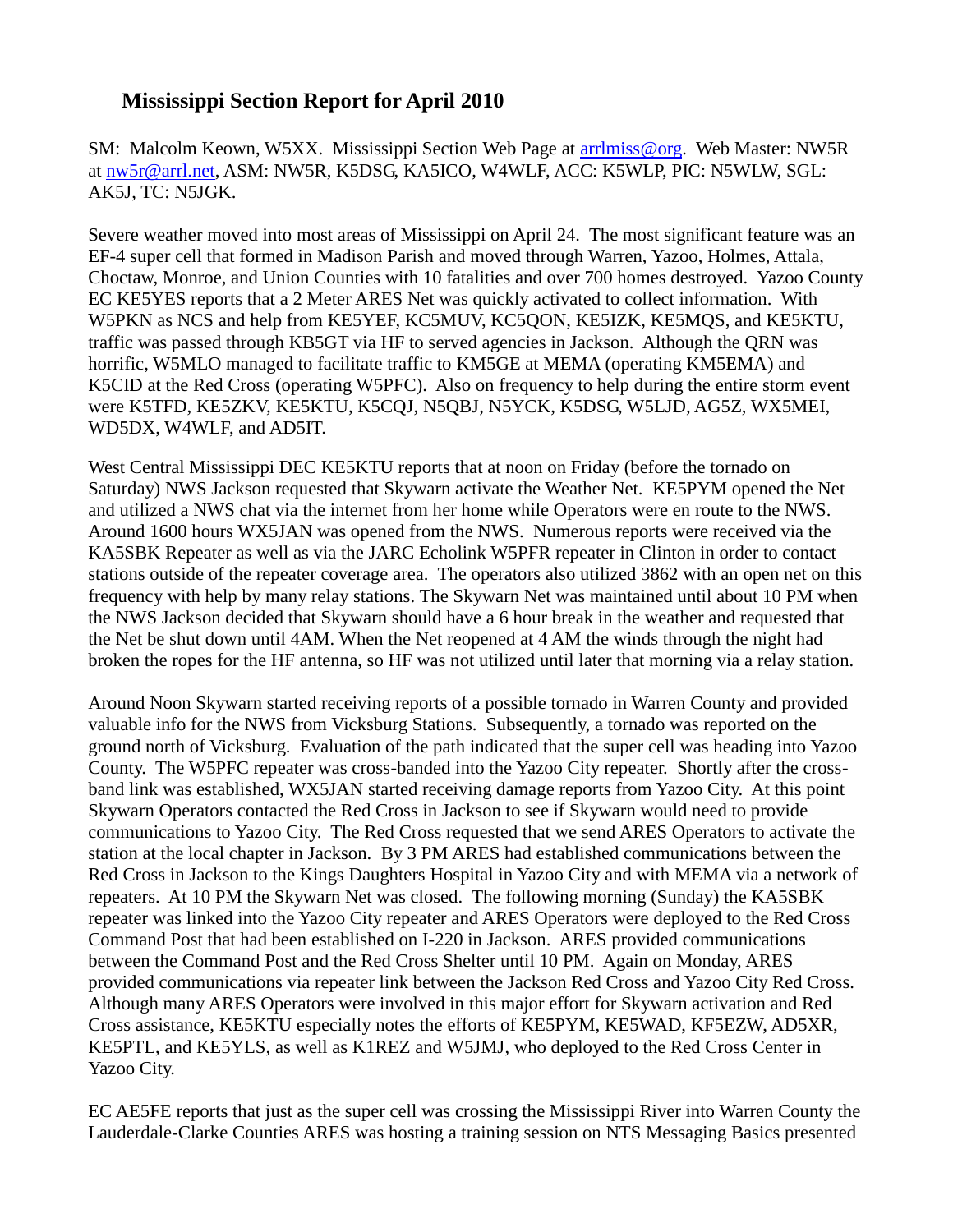## **Mississippi Section Report for April 2010**

SM: Malcolm Keown, W5XX. Mississippi Section Web Page at [arrlmiss@org.](mailto:arrlmiss@org) Web Master: NW5R at [nw5r@arrl.net,](mailto:nw5r@arrl.net) ASM: NW5R, K5DSG, KA5ICO, W4WLF, ACC: K5WLP, PIC: N5WLW, SGL: AK5J, TC: N5JGK.

Severe weather moved into most areas of Mississippi on April 24. The most significant feature was an EF-4 super cell that formed in Madison Parish and moved through Warren, Yazoo, Holmes, Attala, Choctaw, Monroe, and Union Counties with 10 fatalities and over 700 homes destroyed. Yazoo County EC KE5YES reports that a 2 Meter ARES Net was quickly activated to collect information. With W5PKN as NCS and help from KE5YEF, KC5MUV, KC5QON, KE5IZK, KE5MQS, and KE5KTU, traffic was passed through KB5GT via HF to served agencies in Jackson. Although the QRN was horrific, W5MLO managed to facilitate traffic to KM5GE at MEMA (operating KM5EMA) and K5CID at the Red Cross (operating W5PFC). Also on frequency to help during the entire storm event were K5TFD, KE5ZKV, KE5KTU, K5CQJ, N5QBJ, N5YCK, K5DSG, W5LJD, AG5Z, WX5MEI, WD5DX, W4WLF, and AD5IT.

West Central Mississippi DEC KE5KTU reports that at noon on Friday (before the tornado on Saturday) NWS Jackson requested that Skywarn activate the Weather Net. KE5PYM opened the Net and utilized a NWS chat via the internet from her home while Operators were en route to the NWS. Around 1600 hours WX5JAN was opened from the NWS. Numerous reports were received via the KA5SBK Repeater as well as via the JARC Echolink W5PFR repeater in Clinton in order to contact stations outside of the repeater coverage area. The operators also utilized 3862 with an open net on this frequency with help by many relay stations. The Skywarn Net was maintained until about 10 PM when the NWS Jackson decided that Skywarn should have a 6 hour break in the weather and requested that the Net be shut down until 4AM. When the Net reopened at 4 AM the winds through the night had broken the ropes for the HF antenna, so HF was not utilized until later that morning via a relay station.

Around Noon Skywarn started receiving reports of a possible tornado in Warren County and provided valuable info for the NWS from Vicksburg Stations. Subsequently, a tornado was reported on the ground north of Vicksburg. Evaluation of the path indicated that the super cell was heading into Yazoo County. The W5PFC repeater was cross-banded into the Yazoo City repeater. Shortly after the crossband link was established, WX5JAN started receiving damage reports from Yazoo City. At this point Skywarn Operators contacted the Red Cross in Jackson to see if Skywarn would need to provide communications to Yazoo City. The Red Cross requested that we send ARES Operators to activate the station at the local chapter in Jackson. By 3 PM ARES had established communications between the Red Cross in Jackson to the Kings Daughters Hospital in Yazoo City and with MEMA via a network of repeaters. At 10 PM the Skywarn Net was closed. The following morning (Sunday) the KA5SBK repeater was linked into the Yazoo City repeater and ARES Operators were deployed to the Red Cross Command Post that had been established on I-220 in Jackson. ARES provided communications between the Command Post and the Red Cross Shelter until 10 PM. Again on Monday, ARES provided communications via repeater link between the Jackson Red Cross and Yazoo City Red Cross. Although many ARES Operators were involved in this major effort for Skywarn activation and Red Cross assistance, KE5KTU especially notes the efforts of KE5PYM, KE5WAD, KF5EZW, AD5XR, KE5PTL, and KE5YLS, as well as K1REZ and W5JMJ, who deployed to the Red Cross Center in Yazoo City.

EC AE5FE reports that just as the super cell was crossing the Mississippi River into Warren County the Lauderdale-Clarke Counties ARES was hosting a training session on NTS Messaging Basics presented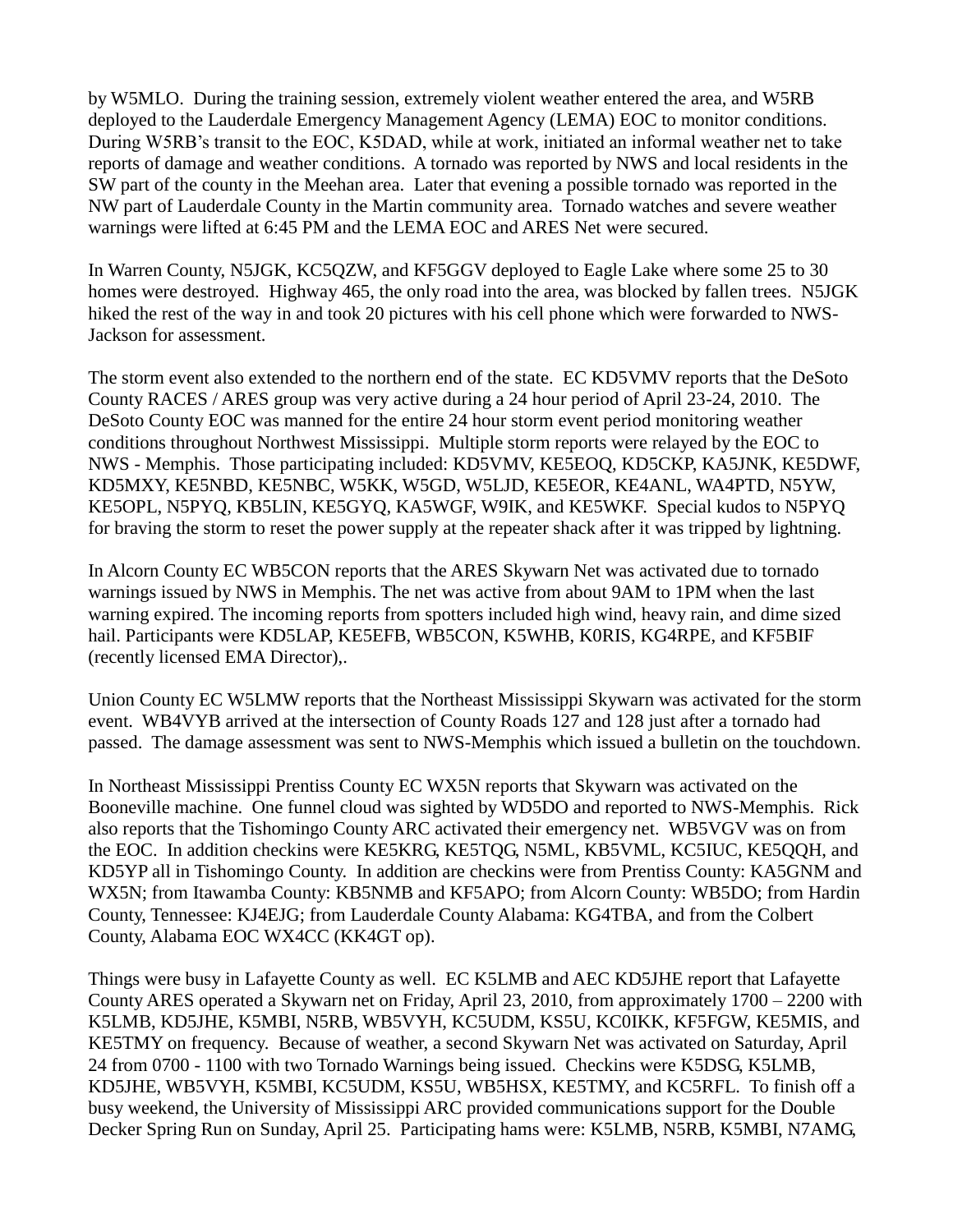by W5MLO. During the training session, extremely violent weather entered the area, and W5RB deployed to the Lauderdale Emergency Management Agency (LEMA) EOC to monitor conditions. During W5RB's transit to the EOC, K5DAD, while at work, initiated an informal weather net to take reports of damage and weather conditions. A tornado was reported by NWS and local residents in the SW part of the county in the Meehan area. Later that evening a possible tornado was reported in the NW part of Lauderdale County in the Martin community area. Tornado watches and severe weather warnings were lifted at 6:45 PM and the LEMA EOC and ARES Net were secured.

In Warren County, N5JGK, KC5QZW, and KF5GGV deployed to Eagle Lake where some 25 to 30 homes were destroyed. Highway 465, the only road into the area, was blocked by fallen trees. N5JGK hiked the rest of the way in and took 20 pictures with his cell phone which were forwarded to NWS-Jackson for assessment.

The storm event also extended to the northern end of the state. EC KD5VMV reports that the DeSoto County RACES / ARES group was very active during a 24 hour period of April 23-24, 2010. The DeSoto County EOC was manned for the entire 24 hour storm event period monitoring weather conditions throughout Northwest Mississippi. Multiple storm reports were relayed by the EOC to NWS - Memphis. Those participating included: KD5VMV, KE5EOQ, KD5CKP, KA5JNK, KE5DWF, KD5MXY, KE5NBD, KE5NBC, W5KK, W5GD, W5LJD, KE5EOR, KE4ANL, WA4PTD, N5YW, KE5OPL, N5PYQ, KB5LIN, KE5GYQ, KA5WGF, W9IK, and KE5WKF. Special kudos to N5PYQ for braving the storm to reset the power supply at the repeater shack after it was tripped by lightning.

In Alcorn County EC WB5CON reports that the ARES Skywarn Net was activated due to tornado warnings issued by NWS in Memphis. The net was active from about 9AM to 1PM when the last warning expired. The incoming reports from spotters included high wind, heavy rain, and dime sized hail. Participants were KD5LAP, KE5EFB, WB5CON, K5WHB, K0RIS, KG4RPE, and KF5BIF (recently licensed EMA Director),.

Union County EC W5LMW reports that the Northeast Mississippi Skywarn was activated for the storm event. WB4VYB arrived at the intersection of County Roads 127 and 128 just after a tornado had passed. The damage assessment was sent to NWS-Memphis which issued a bulletin on the touchdown.

In Northeast Mississippi Prentiss County EC WX5N reports that Skywarn was activated on the Booneville machine. One funnel cloud was sighted by WD5DO and reported to NWS-Memphis. Rick also reports that the Tishomingo County ARC activated their emergency net. WB5VGV was on from the EOC. In addition checkins were KE5KRG, KE5TQG, N5ML, KB5VML, KC5IUC, KE5QQH, and KD5YP all in Tishomingo County. In addition are checkins were from Prentiss County: KA5GNM and WX5N; from Itawamba County: KB5NMB and KF5APO; from Alcorn County: WB5DO; from Hardin County, Tennessee: KJ4EJG; from Lauderdale County Alabama: KG4TBA, and from the Colbert County, Alabama EOC WX4CC (KK4GT op).

Things were busy in Lafayette County as well. EC K5LMB and AEC KD5JHE report that Lafayette County ARES operated a Skywarn net on Friday, April 23, 2010, from approximately 1700 – 2200 with K5LMB, KD5JHE, K5MBI, N5RB, WB5VYH, KC5UDM, KS5U, KC0IKK, KF5FGW, KE5MIS, and KE5TMY on frequency. Because of weather, a second Skywarn Net was activated on Saturday, April 24 from 0700 - 1100 with two Tornado Warnings being issued. Checkins were K5DSG, K5LMB, KD5JHE, WB5VYH, K5MBI, KC5UDM, KS5U, WB5HSX, KE5TMY, and KC5RFL. To finish off a busy weekend, the University of Mississippi ARC provided communications support for the Double Decker Spring Run on Sunday, April 25. Participating hams were: K5LMB, N5RB, K5MBI, N7AMG,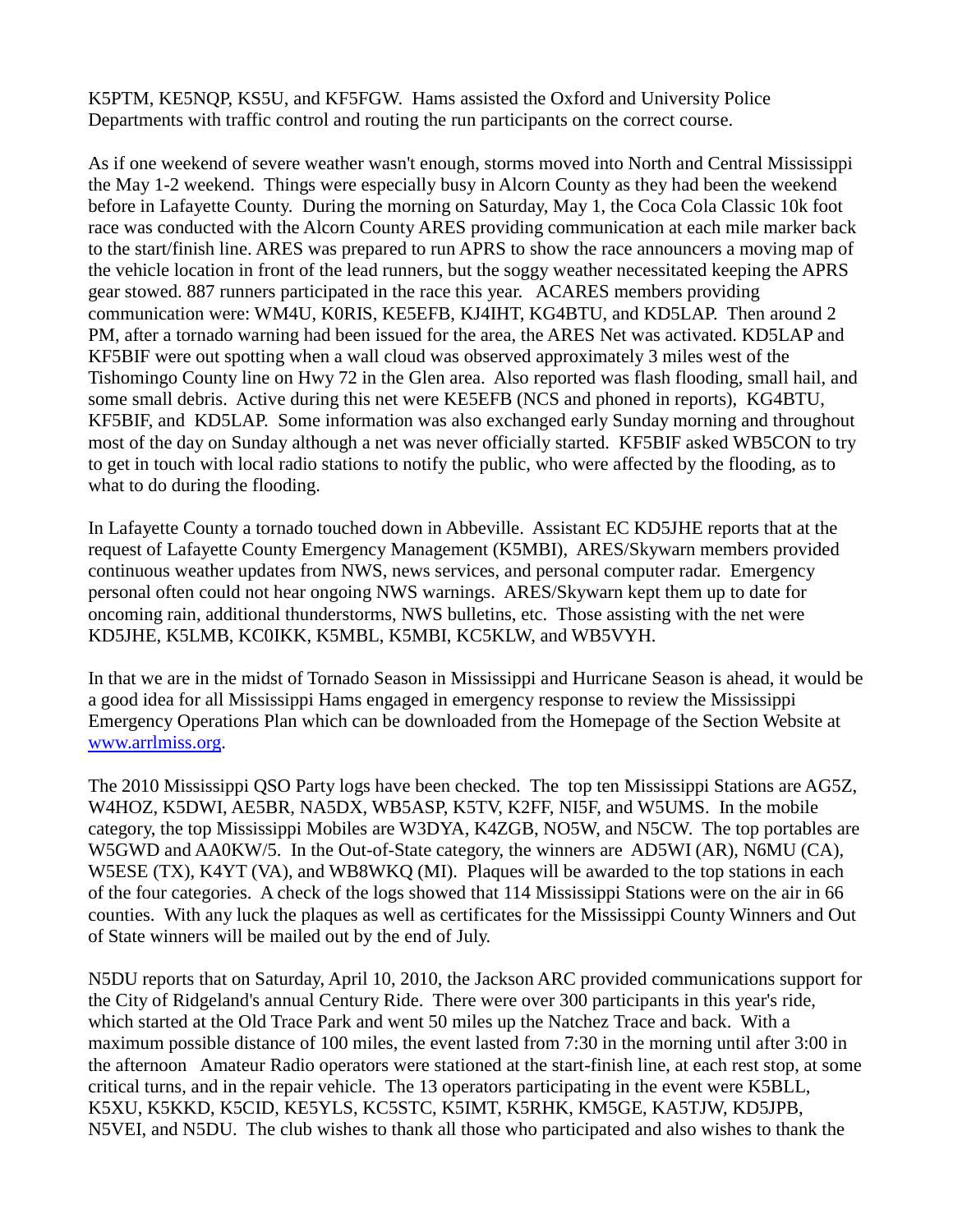K5PTM, KE5NQP, KS5U, and KF5FGW. Hams assisted the Oxford and University Police Departments with traffic control and routing the run participants on the correct course.

As if one weekend of severe weather wasn't enough, storms moved into North and Central Mississippi the May 1-2 weekend. Things were especially busy in Alcorn County as they had been the weekend before in Lafayette County. During the morning on Saturday, May 1, the Coca Cola Classic 10k foot race was conducted with the Alcorn County ARES providing communication at each mile marker back to the start/finish line. ARES was prepared to run APRS to show the race announcers a moving map of the vehicle location in front of the lead runners, but the soggy weather necessitated keeping the APRS gear stowed. 887 runners participated in the race this year. ACARES members providing communication were: WM4U, K0RIS, KE5EFB, KJ4IHT, KG4BTU, and KD5LAP. Then around 2 PM, after a tornado warning had been issued for the area, the ARES Net was activated. KD5LAP and KF5BIF were out spotting when a wall cloud was observed approximately 3 miles west of the Tishomingo County line on Hwy 72 in the Glen area. Also reported was flash flooding, small hail, and some small debris. Active during this net were KE5EFB (NCS and phoned in reports), KG4BTU, KF5BIF, and KD5LAP. Some information was also exchanged early Sunday morning and throughout most of the day on Sunday although a net was never officially started. KF5BIF asked WB5CON to try to get in touch with local radio stations to notify the public, who were affected by the flooding, as to what to do during the flooding.

In Lafayette County a tornado touched down in Abbeville. Assistant EC KD5JHE reports that at the request of Lafayette County Emergency Management (K5MBI), ARES/Skywarn members provided continuous weather updates from NWS, news services, and personal computer radar. Emergency personal often could not hear ongoing NWS warnings. ARES/Skywarn kept them up to date for oncoming rain, additional thunderstorms, NWS bulletins, etc. Those assisting with the net were KD5JHE, K5LMB, KC0IKK, K5MBL, K5MBI, KC5KLW, and WB5VYH.

In that we are in the midst of Tornado Season in Mississippi and Hurricane Season is ahead, it would be a good idea for all Mississippi Hams engaged in emergency response to review the Mississippi Emergency Operations Plan which can be downloaded from the Homepage of the Section Website at [www.arrlmiss.org.](http://www.arrlmiss.org/)

The 2010 Mississippi QSO Party logs have been checked. The top ten Mississippi Stations are AG5Z, W4HOZ, K5DWI, AE5BR, NA5DX, WB5ASP, K5TV, K2FF, NI5F, and W5UMS. In the mobile category, the top Mississippi Mobiles are W3DYA, K4ZGB, NO5W, and N5CW. The top portables are W5GWD and AA0KW/5. In the Out-of-State category, the winners are AD5WI (AR), N6MU (CA), W5ESE (TX), K4YT (VA), and WB8WKQ (MI). Plaques will be awarded to the top stations in each of the four categories. A check of the logs showed that 114 Mississippi Stations were on the air in 66 counties. With any luck the plaques as well as certificates for the Mississippi County Winners and Out of State winners will be mailed out by the end of July.

N5DU reports that on Saturday, April 10, 2010, the Jackson ARC provided communications support for the City of Ridgeland's annual Century Ride. There were over 300 participants in this year's ride, which started at the Old Trace Park and went 50 miles up the Natchez Trace and back. With a maximum possible distance of 100 miles, the event lasted from 7:30 in the morning until after 3:00 in the afternoon Amateur Radio operators were stationed at the start-finish line, at each rest stop, at some critical turns, and in the repair vehicle. The 13 operators participating in the event were K5BLL, K5XU, K5KKD, K5CID, KE5YLS, KC5STC, K5IMT, K5RHK, KM5GE, KA5TJW, KD5JPB, N5VEI, and N5DU. The club wishes to thank all those who participated and also wishes to thank the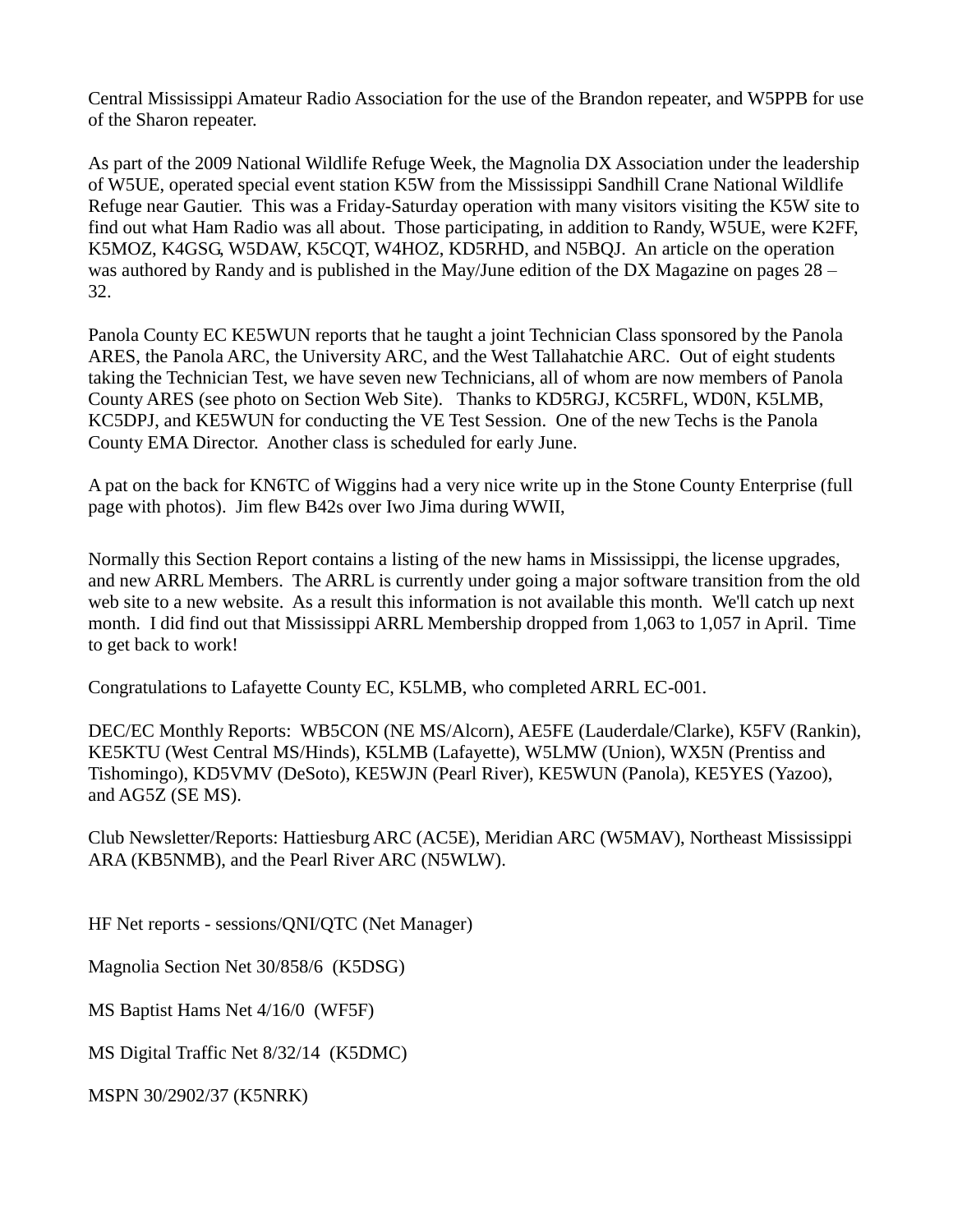Central Mississippi Amateur Radio Association for the use of the Brandon repeater, and W5PPB for use of the Sharon repeater.

As part of the 2009 National Wildlife Refuge Week, the Magnolia DX Association under the leadership of W5UE, operated special event station K5W from the Mississippi Sandhill Crane National Wildlife Refuge near Gautier. This was a Friday-Saturday operation with many visitors visiting the K5W site to find out what Ham Radio was all about. Those participating, in addition to Randy, W5UE, were K2FF, K5MOZ, K4GSG, W5DAW, K5CQT, W4HOZ, KD5RHD, and N5BQJ. An article on the operation was authored by Randy and is published in the May/June edition of the DX Magazine on pages  $28 -$ 32.

Panola County EC KE5WUN reports that he taught a joint Technician Class sponsored by the Panola ARES, the Panola ARC, the University ARC, and the West Tallahatchie ARC. Out of eight students taking the Technician Test, we have seven new Technicians, all of whom are now members of Panola County ARES (see photo on Section Web Site). Thanks to KD5RGJ, KC5RFL, WD0N, K5LMB, KC5DPJ, and KE5WUN for conducting the VE Test Session. One of the new Techs is the Panola County EMA Director. Another class is scheduled for early June.

A pat on the back for KN6TC of Wiggins had a very nice write up in the Stone County Enterprise (full page with photos). Jim flew B42s over Iwo Jima during WWII,

Normally this Section Report contains a listing of the new hams in Mississippi, the license upgrades, and new ARRL Members. The ARRL is currently under going a major software transition from the old web site to a new website. As a result this information is not available this month. We'll catch up next month. I did find out that Mississippi ARRL Membership dropped from 1,063 to 1,057 in April. Time to get back to work!

Congratulations to Lafayette County EC, K5LMB, who completed ARRL EC-001.

DEC/EC Monthly Reports: WB5CON (NE MS/Alcorn), AE5FE (Lauderdale/Clarke), K5FV (Rankin), KE5KTU (West Central MS/Hinds), K5LMB (Lafayette), W5LMW (Union), WX5N (Prentiss and Tishomingo), KD5VMV (DeSoto), KE5WJN (Pearl River), KE5WUN (Panola), KE5YES (Yazoo), and AG5Z (SE MS).

Club Newsletter/Reports: Hattiesburg ARC (AC5E), Meridian ARC (W5MAV), Northeast Mississippi ARA (KB5NMB), and the Pearl River ARC (N5WLW).

HF Net reports - sessions/QNI/QTC (Net Manager)

Magnolia Section Net 30/858/6 (K5DSG)

MS Baptist Hams Net 4/16/0 (WF5F)

MS Digital Traffic Net 8/32/14 (K5DMC)

MSPN 30/2902/37 (K5NRK)